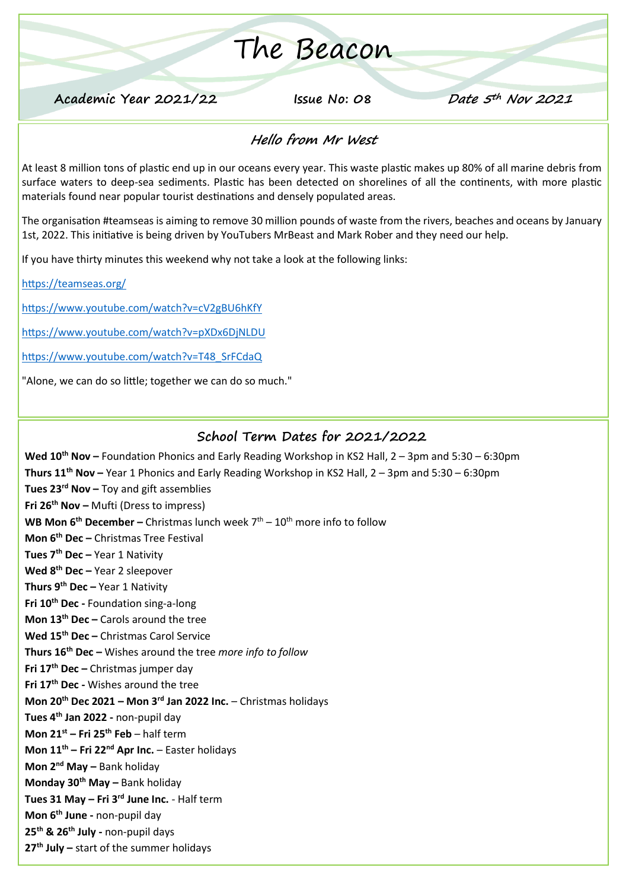# The Beacon

**Academic Year 2021/22 Issue No: 08 Date 5th Nov 2021**

### **Hello from Mr West**

At least 8 million tons of plastic end up in our oceans every year. This waste plastic makes up 80% of all marine debris from surface waters to deep-sea sediments. Plastic has been detected on shorelines of all the continents, with more plastic materials found near popular tourist destinations and densely populated areas.

The organisation #teamseas is aiming to remove 30 million pounds of waste from the rivers, beaches and oceans by January 1st, 2022. This initiative is being driven by YouTubers MrBeast and Mark Rober and they need our help.

If you have thirty minutes this weekend why not take a look at the following links:

<https://teamseas.org/>

<https://www.youtube.com/watch?v=cV2gBU6hKfY>

<https://www.youtube.com/watch?v=pXDx6DjNLDU>

[https://www.youtube.com/watch?v=T48\\_SrFCdaQ](https://www.youtube.com/watch?v=T48_SrFCdaQ)

"Alone, we can do so little; together we can do so much."

#### **School Term Dates for 2021/2022**

**Wed 10th Nov –** Foundation Phonics and Early Reading Workshop in KS2 Hall, 2 – 3pm and 5:30 – 6:30pm **Thurs 11th Nov –** Year 1 Phonics and Early Reading Workshop in KS2 Hall, 2 – 3pm and 5:30 – 6:30pm **Tues 23rd Nov –** Toy and gift assemblies **Fri 26th Nov –** Mufti (Dress to impress) **WB Mon 6<sup>th</sup> December –** Christmas lunch week 7<sup>th</sup> – 10<sup>th</sup> more info to follow **Mon 6th Dec –** Christmas Tree Festival **Tues 7 th Dec –** Year 1 Nativity **Wed 8th Dec –** Year 2 sleepover **Thurs 9th Dec –** Year 1 Nativity **Fri 10th Dec -** Foundation sing-a-long **Mon 13th Dec –** Carols around the tree **Wed 15th Dec –** Christmas Carol Service **Thurs 16th Dec –** Wishes around the tree *more info to follow* **Fri 17th Dec –** Christmas jumper day **Fri 17th Dec -** Wishes around the tree **Mon 20th Dec 2021 – Mon 3rd Jan 2022 Inc.** – Christmas holidays **Tues 4th Jan 2022 -** non-pupil day **Mon 21st – Fri 25th Feb** – half term **Mon 11th – Fri 22nd Apr Inc.** – Easter holidays **Mon 2nd May –** Bank holiday **Monday 30th May –** Bank holiday **Tues 31 May – Fri 3rd June Inc.** - Half term **Mon 6th June -** non-pupil day **25th & 26th July -** non-pupil days **27th July –** start of the summer holidays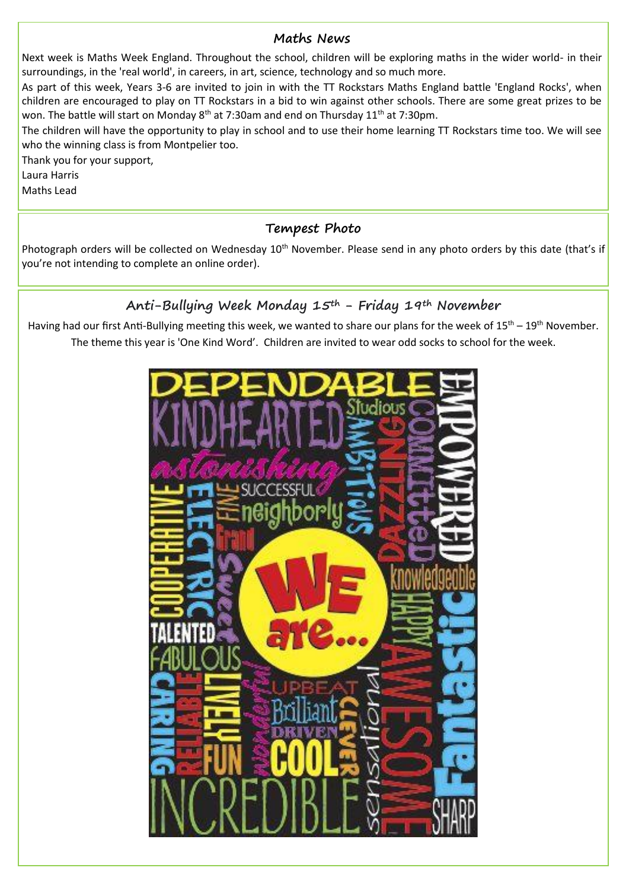#### **Maths News**

Next week is Maths Week England. Throughout the school, children will be exploring maths in the wider world- in their surroundings, in the 'real world', in careers, in art, science, technology and so much more.

As part of this week, Years 3-6 are invited to join in with the TT Rockstars Maths England battle 'England Rocks', when children are encouraged to play on TT Rockstars in a bid to win against other schools. There are some great prizes to be won. The battle will start on Monday  $8<sup>th</sup>$  at 7:30am and end on Thursday 11<sup>th</sup> at 7:30pm.

The children will have the opportunity to play in school and to use their home learning TT Rockstars time too. We will see who the winning class is from Montpelier too.

Thank you for your support,

Laura Harris

Maths Lead

#### **Tempest Photo**

Photograph orders will be collected on Wednesday 10<sup>th</sup> November. Please send in any photo orders by this date (that's if you're not intending to complete an online order).

## **Anti-Bullying Week Monday 15th - Friday 19th November**

Having had our first Anti-Bullying meeting this week, we wanted to share our plans for the week of  $15^{th}$  –  $19^{th}$  November. The theme this year is 'One Kind Word'. Children are invited to wear odd socks to school for the week.

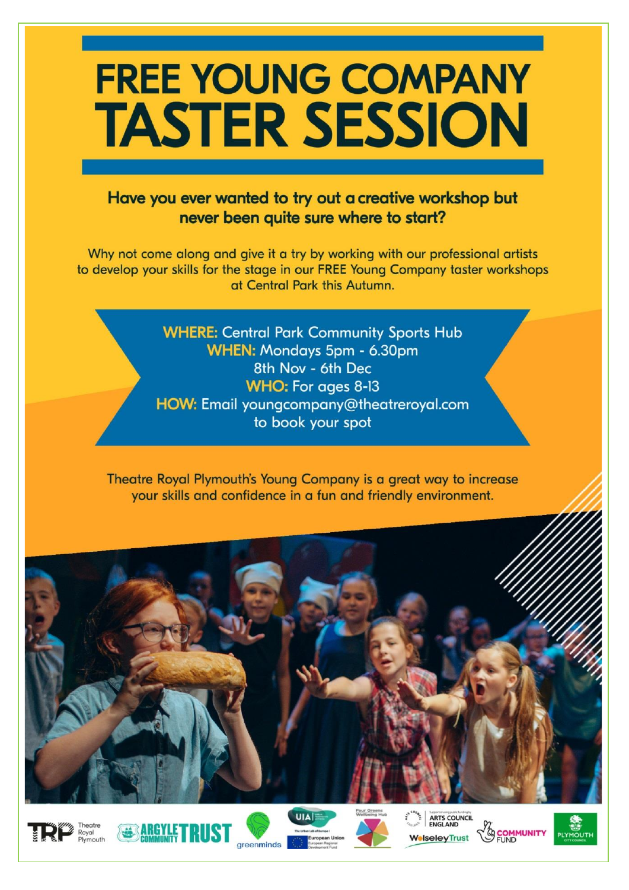# **FREE YOUNG COMPANY TASTER SESSION**

### Have you ever wanted to try out a creative workshop but never been quite sure where to start?

Why not come along and give it a try by working with our professional artists to develop your skills for the stage in our FREE Young Company taster workshops at Central Park this Autumn.

> **WHERE: Central Park Community Sports Hub** WHEN: Mondays 5pm - 6.30pm 8th Nov - 6th Dec **WHO: For ages 8-13** HOW: Email youngcompany@theatreroyal.com to book your spot

Theatre Royal Plymouth's Young Company is a great way to increase your skills and confidence in a fun and friendly environment.